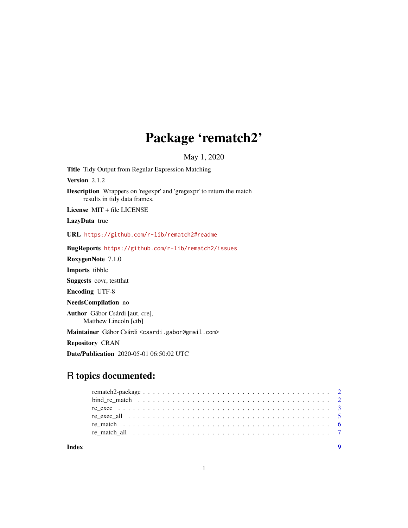# Package 'rematch2'

May 1, 2020

<span id="page-0-0"></span>Title Tidy Output from Regular Expression Matching

Version 2.1.2

Description Wrappers on 'regexpr' and 'gregexpr' to return the match results in tidy data frames.

License MIT + file LICENSE

LazyData true

URL <https://github.com/r-lib/rematch2#readme>

BugReports <https://github.com/r-lib/rematch2/issues>

RoxygenNote 7.1.0

Imports tibble

Suggests covr, testthat

Encoding UTF-8

NeedsCompilation no

Author Gábor Csárdi [aut, cre], Matthew Lincoln [ctb]

Maintainer Gábor Csárdi <csardi.gabor@gmail.com>

Repository CRAN

Date/Publication 2020-05-01 06:50:02 UTC

# R topics documented:

**Index** [9](#page-8-0)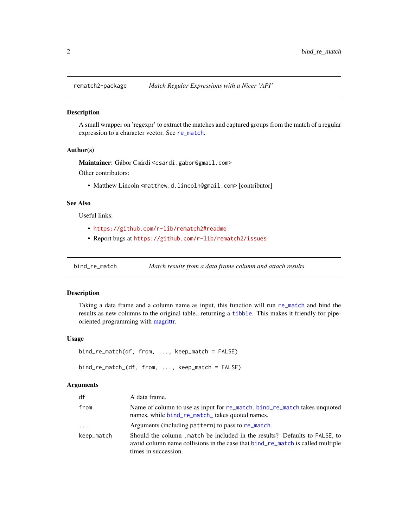<span id="page-1-0"></span>

#### Description

A small wrapper on 'regexpr' to extract the matches and captured groups from the match of a regular expression to a character vector. See [re\\_match](#page-5-1).

# Author(s)

Maintainer: Gábor Csárdi <csardi.gabor@gmail.com>

Other contributors:

• Matthew Lincoln <matthew.d.lincoln@gmail.com> [contributor]

# See Also

Useful links:

- <https://github.com/r-lib/rematch2#readme>
- Report bugs at <https://github.com/r-lib/rematch2/issues>

<span id="page-1-1"></span>bind\_re\_match *Match results from a data frame column and attach results*

# <span id="page-1-2"></span>Description

Taking a data frame and a column name as input, this function will run [re\\_match](#page-5-1) and bind the results as new columns to the original table., returning a [tibble](#page-0-0). This makes it friendly for pipeoriented programming with [magrittr.](#page-0-0)

#### Usage

```
bind_re_match(df, from, ..., keep_match = FALSE)
```

```
bind_re_match_(df, from, ..., keep_match = FALSE)
```

| df         | A data frame.                                                                                                                                                                       |
|------------|-------------------------------------------------------------------------------------------------------------------------------------------------------------------------------------|
| from       | Name of column to use as input for re_match. bind_re_match takes unquoted<br>names, while bind_re_match_takes quoted names.                                                         |
| $\cdots$   | Arguments (including pattern) to pass to re_match.                                                                                                                                  |
| keep_match | Should the column match be included in the results? Defaults to FALSE, to<br>avoid column name collisions in the case that bind_re_match is called multiple<br>times in succession. |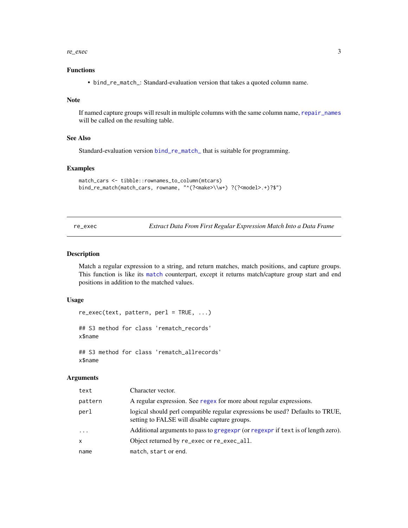<span id="page-2-0"></span>re\_exec 3

# Functions

• bind\_re\_match\_: Standard-evaluation version that takes a quoted column name.

#### Note

If named capture groups will result in multiple columns with the same column name, [repair\\_names](#page-0-0) will be called on the resulting table.

#### See Also

Standard-evaluation version [bind\\_re\\_match\\_](#page-1-2) that is suitable for programming.

#### Examples

```
match_cars <- tibble::rownames_to_column(mtcars)
bind_re_match(match_cars, rowname, "^(?<make>\\w+) ?(?<model>.+)?$")
```
<span id="page-2-1"></span>re\_exec *Extract Data From First Regular Expression Match Into a Data Frame*

# Description

Match a regular expression to a string, and return matches, match positions, and capture groups. This function is like its [match](#page-5-1) counterpart, except it returns match/capture group start and end positions in addition to the matched values.

# Usage

```
re_exec(text, pattern, perl = TRUE, ...)
## S3 method for class 'rematch_records'
x$name
## S3 method for class 'rematch_allrecords'
x$name
```

| text       | Character vector.                                                                                                              |
|------------|--------------------------------------------------------------------------------------------------------------------------------|
| pattern    | A regular expression. See regex for more about regular expressions.                                                            |
| perl       | logical should perl compatible regular expressions be used? Defaults to TRUE,<br>setting to FALSE will disable capture groups. |
| $\ddots$ . | Additional arguments to pass to gregexpr (or regexpr if text is of length zero).                                               |
| x          | Object returned by re_exec or re_exec_all.                                                                                     |
| name       | match, start or end.                                                                                                           |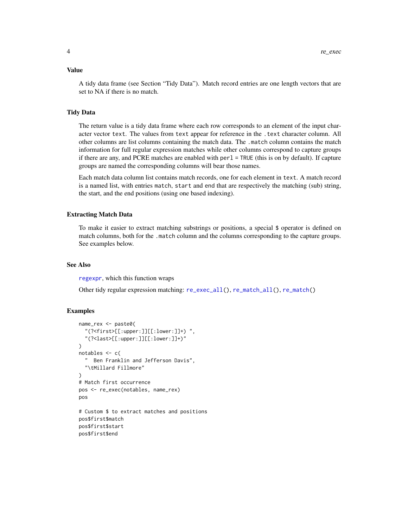#### <span id="page-3-0"></span>Value

A tidy data frame (see Section "Tidy Data"). Match record entries are one length vectors that are set to NA if there is no match.

#### Tidy Data

The return value is a tidy data frame where each row corresponds to an element of the input character vector text. The values from text appear for reference in the .text character column. All other columns are list columns containing the match data. The .match column contains the match information for full regular expression matches while other columns correspond to capture groups if there are any, and PCRE matches are enabled with perl = TRUE (this is on by default). If capture groups are named the corresponding columns will bear those names.

Each match data column list contains match records, one for each element in text. A match record is a named list, with entries match, start and end that are respectively the matching (sub) string, the start, and the end positions (using one based indexing).

#### Extracting Match Data

To make it easier to extract matching substrings or positions, a special \$ operator is defined on match columns, both for the .match column and the columns corresponding to the capture groups. See examples below.

# See Also

[regexpr](#page-0-0), which this function wraps

Other tidy regular expression matching: [re\\_exec\\_all\(](#page-4-1)), [re\\_match\\_all\(](#page-6-1)), [re\\_match\(](#page-5-1))

# Examples

```
name_rex <- paste0(
  "(?<first>[[:upper:]][[:lower:]]+) ",
  "(?<last>[[:upper:]][[:lower:]]+)"
)
notables \leq c(
  " Ben Franklin and Jefferson Davis",
  "\tMillard Fillmore"
\lambda# Match first occurrence
pos <- re_exec(notables, name_rex)
pos
# Custom $ to extract matches and positions
pos$first$match
pos$first$start
pos$first$end
```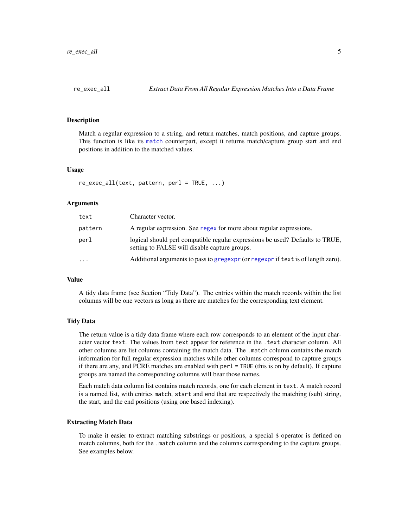# <span id="page-4-1"></span><span id="page-4-0"></span>Description

Match a regular expression to a string, and return matches, match positions, and capture groups. This function is like its [match](#page-6-1) counterpart, except it returns match/capture group start and end positions in addition to the matched values.

#### Usage

```
re_exec_all(text, pattern, perl = TRUE, ...)
```
# Arguments

| text     | Character vector.                                                                                                              |
|----------|--------------------------------------------------------------------------------------------------------------------------------|
| pattern  | A regular expression. See regex for more about regular expressions.                                                            |
| perl     | logical should perl compatible regular expressions be used? Defaults to TRUE,<br>setting to FALSE will disable capture groups. |
| $\cdots$ | Additional arguments to pass to gregexpr (or regexpr if text is of length zero).                                               |

# Value

A tidy data frame (see Section "Tidy Data"). The entries within the match records within the list columns will be one vectors as long as there are matches for the corresponding text element.

#### Tidy Data

The return value is a tidy data frame where each row corresponds to an element of the input character vector text. The values from text appear for reference in the .text character column. All other columns are list columns containing the match data. The .match column contains the match information for full regular expression matches while other columns correspond to capture groups if there are any, and PCRE matches are enabled with perl = TRUE (this is on by default). If capture groups are named the corresponding columns will bear those names.

Each match data column list contains match records, one for each element in text. A match record is a named list, with entries match, start and end that are respectively the matching (sub) string, the start, and the end positions (using one based indexing).

#### Extracting Match Data

To make it easier to extract matching substrings or positions, a special \$ operator is defined on match columns, both for the .match column and the columns corresponding to the capture groups. See examples below.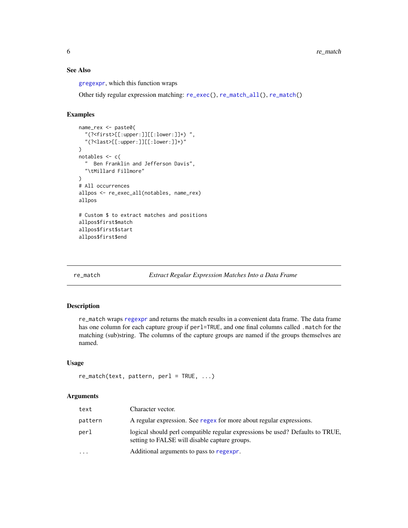# <span id="page-5-0"></span>See Also

[gregexpr](#page-0-0), which this function wraps

Other tidy regular expression matching: [re\\_exec\(](#page-2-1)), [re\\_match\\_all\(](#page-6-1)), [re\\_match\(](#page-5-1))

### Examples

```
name_rex <- paste0(
  "(?<first>[[:upper:]][[:lower:]]+) ",
  "(?<last>[[:upper:]][[:lower:]]+)"
\lambdanotables <- c(
  " Ben Franklin and Jefferson Davis",
  "\tMillard Fillmore"
)
# All occurrences
allpos <- re_exec_all(notables, name_rex)
allpos
# Custom $ to extract matches and positions
allpos$first$match
allpos$first$start
allpos$first$end
```
<span id="page-5-1"></span>re\_match *Extract Regular Expression Matches Into a Data Frame*

# Description

re\_match wraps [regexpr](#page-0-0) and returns the match results in a convenient data frame. The data frame has one column for each capture group if perl=TRUE, and one final columns called .match for the matching (sub)string. The columns of the capture groups are named if the groups themselves are named.

# Usage

```
re\_match(text, pattern, per1 = TRUE, ...)
```

| text      | Character vector.                                                                                                              |
|-----------|--------------------------------------------------------------------------------------------------------------------------------|
| pattern   | A regular expression. See regex for more about regular expressions.                                                            |
| perl      | logical should perl compatible regular expressions be used? Defaults to TRUE,<br>setting to FALSE will disable capture groups. |
| $\ddotsc$ | Additional arguments to pass to regexpr.                                                                                       |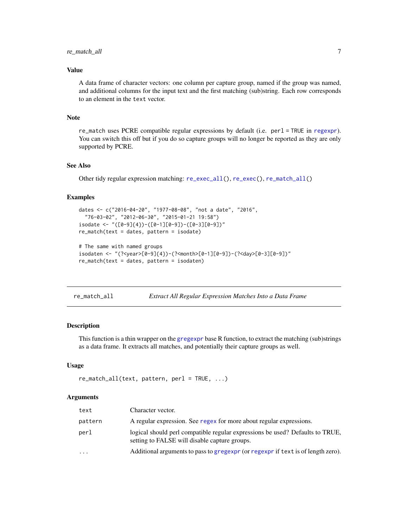# <span id="page-6-0"></span>re\_match\_all 7

# Value

A data frame of character vectors: one column per capture group, named if the group was named, and additional columns for the input text and the first matching (sub)string. Each row corresponds to an element in the text vector.

# Note

re\_match uses PCRE compatible regular expressions by default (i.e. perl = TRUE in [regexpr](#page-0-0)). You can switch this off but if you do so capture groups will no longer be reported as they are only supported by PCRE.

#### See Also

Other tidy regular expression matching: [re\\_exec\\_all\(](#page-4-1)), [re\\_exec\(](#page-2-1)), [re\\_match\\_all\(](#page-6-1))

# Examples

```
dates <- c("2016-04-20", "1977-08-08", "not a date", "2016",
  "76-03-02", "2012-06-30", "2015-01-21 19:58")
isodate <- "([0-9]{4})-([0-1][0-9])-([0-3][0-9])"
re_match(text = dates, pattern = isodate)
# The same with named groups
isodaten <- "(?<year>[0-9]{4})-(?<month>[0-1][0-9])-(?<day>[0-3][0-9])"
re_match(text = dates, pattern = isodaten)
```
<span id="page-6-1"></span>re\_match\_all *Extract All Regular Expression Matches Into a Data Frame*

# Description

This function is a thin wrapper on the [gregexpr](#page-0-0) base R function, to extract the matching (sub)strings as a data frame. It extracts all matches, and potentially their capture groups as well.

## Usage

```
re\_match\_all(text, pattern, per1 = TRUE, ...)
```

| text      | Character vector.                                                                                                              |
|-----------|--------------------------------------------------------------------------------------------------------------------------------|
| pattern   | A regular expression. See regex for more about regular expressions.                                                            |
| perl      | logical should perl compatible regular expressions be used? Defaults to TRUE,<br>setting to FALSE will disable capture groups. |
| $\ddotsc$ | Additional arguments to pass to gregexpr (or regexpr if text is of length zero).                                               |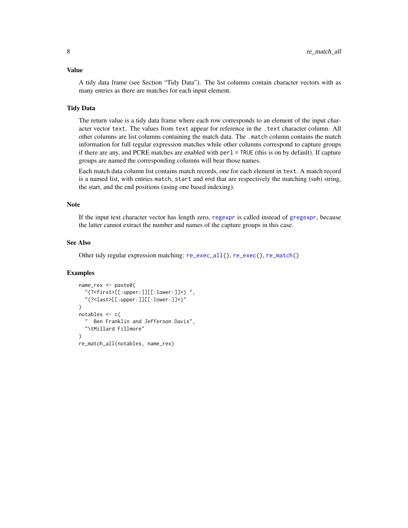# <span id="page-7-0"></span>Value

A tidy data frame (see Section "Tidy Data"). The list columns contain character vectors with as many entries as there are matches for each input element.

# Tidy Data

The return value is a tidy data frame where each row corresponds to an element of the input character vector text. The values from text appear for reference in the .text character column. All other columns are list columns containing the match data. The .match column contains the match information for full regular expression matches while other columns correspond to capture groups if there are any, and PCRE matches are enabled with perl = TRUE (this is on by default). If capture groups are named the corresponding columns will bear those names.

Each match data column list contains match records, one for each element in text. A match record is a named list, with entries match, start and end that are respectively the matching (sub) string, the start, and the end positions (using one based indexing).

# Note

If the input text character vector has length zero, [regexpr](#page-0-0) is called instead of [gregexpr](#page-0-0), because the latter cannot extract the number and names of the capture groups in this case.

#### See Also

Other tidy regular expression matching: [re\\_exec\\_all\(](#page-4-1)), [re\\_exec\(](#page-2-1)), [re\\_match\(](#page-5-1))

#### Examples

```
name_rex <- paste0(
  "(?<first>[[:upper:]][[:lower:]]+) ",
  "(?<last>[[:upper:]][[:lower:]]+)"
)
notables <- c(
  " Ben Franklin and Jefferson Davis",
  "\tMillard Fillmore"
\lambdare_match_all(notables, name_rex)
```